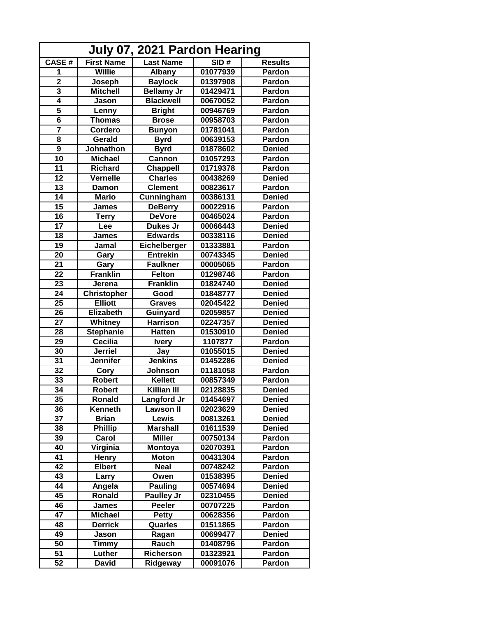| July 07, 2021 Pardon Hearing |                   |                   |          |                |  |  |
|------------------------------|-------------------|-------------------|----------|----------------|--|--|
| <b>CASE#</b>                 | <b>First Name</b> | <b>Last Name</b>  | SID#     | <b>Results</b> |  |  |
| 1                            | <b>Willie</b>     | Albany            | 01077939 | Pardon         |  |  |
| $\overline{2}$               | Joseph            | <b>Baylock</b>    | 01397908 | Pardon         |  |  |
| 3                            | <b>Mitchell</b>   | <b>Bellamy Jr</b> | 01429471 | Pardon         |  |  |
| 4                            | Jason             | <b>Blackwell</b>  | 00670052 | Pardon         |  |  |
| $\overline{\mathbf{5}}$      | Lenny             | <b>Bright</b>     | 00946769 | Pardon         |  |  |
| $\overline{\mathbf{6}}$      | <b>Thomas</b>     | <b>Brose</b>      | 00958703 | Pardon         |  |  |
| 7                            | Cordero           | <b>Bunyon</b>     | 01781041 | Pardon         |  |  |
| 8                            | Gerald            | <b>Byrd</b>       | 00639153 | Pardon         |  |  |
| $\overline{9}$               | Johnathon         | <b>Byrd</b>       | 01878602 | <b>Denied</b>  |  |  |
| 10                           | <b>Michael</b>    | <b>Cannon</b>     | 01057293 | Pardon         |  |  |
| $\overline{11}$              | <b>Richard</b>    | <b>Chappell</b>   | 01719378 | Pardon         |  |  |
| $\overline{12}$              | Vernelle          | <b>Charles</b>    | 00438269 | <b>Denied</b>  |  |  |
| 13                           | Damon             | <b>Clement</b>    | 00823617 | Pardon         |  |  |
| 14                           | <b>Mario</b>      | Cunningham        | 00386131 | <b>Denied</b>  |  |  |
| 15                           | James             | <b>DeBerry</b>    | 00022916 | Pardon         |  |  |
| 16                           | <b>Terry</b>      | <b>DeVore</b>     | 00465024 | Pardon         |  |  |
| 17                           | Lee               | Dukes Jr          | 00066443 | <b>Denied</b>  |  |  |
| 18                           | <b>James</b>      | <b>Edwards</b>    | 00338116 | <b>Denied</b>  |  |  |
| 19                           | Jamal             | Eichelberger      | 01333881 | Pardon         |  |  |
| 20                           | Gary              | <b>Entrekin</b>   | 00743345 | <b>Denied</b>  |  |  |
| 21                           | Gary              | <b>Faulkner</b>   | 00005065 | Pardon         |  |  |
| 22                           | <b>Franklin</b>   | <b>Felton</b>     | 01298746 | Pardon         |  |  |
| 23                           | Jerena            | <b>Franklin</b>   | 01824740 | <b>Denied</b>  |  |  |
| 24                           | Christopher       | Good              | 01848777 | <b>Denied</b>  |  |  |
| 25                           | <b>Elliott</b>    | <b>Graves</b>     | 02045422 | <b>Denied</b>  |  |  |
| 26                           | <b>Elizabeth</b>  | <b>Guinyard</b>   | 02059857 | <b>Denied</b>  |  |  |
| 27                           | Whitney           | <b>Harrison</b>   | 02247357 | <b>Denied</b>  |  |  |
| 28                           | <b>Stephanie</b>  | <b>Hatten</b>     | 01530910 | <b>Denied</b>  |  |  |
| 29                           | Cecilia           | <b>Ivery</b>      | 1107877  | Pardon         |  |  |
| 30                           | <b>Jerriel</b>    | Jay               | 01055015 | <b>Denied</b>  |  |  |
| 31                           | <b>Jennifer</b>   | <b>Jenkins</b>    | 01452286 | <b>Denied</b>  |  |  |
| 32                           | Cory              | Johnson           | 01181058 | Pardon         |  |  |
| 33                           | <b>Robert</b>     | <b>Kellett</b>    | 00857349 | Pardon         |  |  |
| $\overline{34}$              | <b>Robert</b>     | Killian III       | 02128835 | <b>Denied</b>  |  |  |
| 35                           | <b>Ronald</b>     | Langford Jr       | 01454697 | <b>Denied</b>  |  |  |
| 36                           | Kenneth           | <b>Lawson II</b>  | 02023629 | <b>Denied</b>  |  |  |
| 37                           | <b>Brian</b>      | Lewis             | 00813261 | <b>Denied</b>  |  |  |
| 38                           | <b>Phillip</b>    | <b>Marshall</b>   | 01611539 | <b>Denied</b>  |  |  |
| 39                           | Carol             | <b>Miller</b>     | 00750134 | Pardon         |  |  |
| 40                           | Virginia          | <b>Montoya</b>    | 02070391 | Pardon         |  |  |
| 41                           | <b>Henry</b>      | <b>Moton</b>      | 00431304 | Pardon         |  |  |
| 42                           | <b>Elbert</b>     | <b>Neal</b>       | 00748242 | Pardon         |  |  |
| 43                           | Larry             | Owen              | 01538395 | <b>Denied</b>  |  |  |
| 44                           | Angela            | <b>Pauling</b>    | 00574694 | <b>Denied</b>  |  |  |
| 45                           | Ronald            | <b>Paulley Jr</b> | 02310455 | <b>Denied</b>  |  |  |
| 46                           | James             | <b>Peeler</b>     | 00707225 | Pardon         |  |  |
| 47                           | <b>Michael</b>    | <b>Petty</b>      | 00628356 | Pardon         |  |  |
| 48                           | <b>Derrick</b>    | Quarles           | 01511865 | Pardon         |  |  |
| 49                           | Jason             | Ragan             | 00699477 | <b>Denied</b>  |  |  |
| 50                           | Timmy             | Rauch             | 01408796 | Pardon         |  |  |
| 51                           | Luther            | <b>Richerson</b>  | 01323921 | Pardon         |  |  |
| 52                           | <b>David</b>      |                   |          |                |  |  |
|                              |                   | Ridgeway          | 00091076 | Pardon         |  |  |